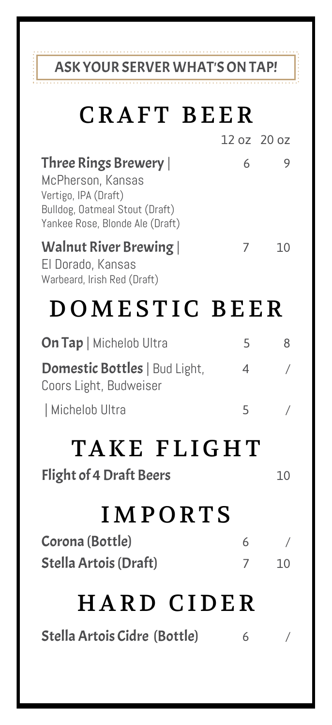### ASK YOUR SERVER WHAT'S ON TAP!

l

| <b>CRAFT BEER</b>                                                                                                                       |             |                      |
|-----------------------------------------------------------------------------------------------------------------------------------------|-------------|----------------------|
|                                                                                                                                         | 12 oz 20 oz |                      |
| Three Rings Brewery  <br>McPherson, Kansas<br>Vertigo, IPA (Draft)<br>Bulldog, Oatmeal Stout (Draft)<br>Yankee Rose, Blonde Ale (Draft) | 6           | 9                    |
| Walnut River Brewing  <br>El Dorado, Kansas<br>Warbeard, Irish Red (Draft)                                                              | 7           | 10                   |
| DOMESTIC BEER                                                                                                                           |             |                      |
| On Tap   Michelob Ultra                                                                                                                 | 5           | 8                    |
| <b>Domestic Bottles</b>   Bud Light,<br>Coors Light, Budweiser                                                                          | 4           | $\!$                 |
| Michelob Ultra                                                                                                                          | 5           | $\overline{1}$       |
| TAKE FLIGHT<br><b>Flight of 4 Draft Beers</b>                                                                                           |             | 10                   |
| <b>IMPORTS</b>                                                                                                                          |             |                      |
| Corona (Bottle)<br>Stella Artois (Draft)                                                                                                | 6<br>7      | $\overline{ }$<br>10 |
| HARD CIDER                                                                                                                              |             |                      |

Stella Artois Cidre (Bottle) 6 /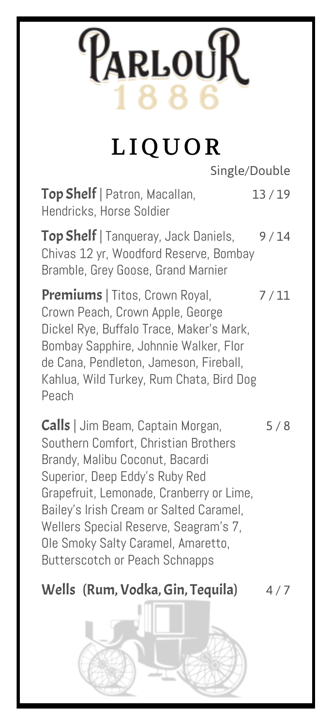# ParlouR

## LIQUOR

Single/Double

Top Shelf | Patron, Macallan, 13/19 Hendricks, Horse Soldier

Top Shelf | Tanqueray, Jack Daniels, 9/14 Chivas 12 yr, Woodford Reserve, Bombay Bramble, Grey Goose, Grand Marnier

Premiums | Titos, Crown Royal, 7/11 Crown Peach, Crown Apple, George Dickel Rye, Buffalo Trace, Maker's Mark, Bombay Sapphire, Johnnie Walker, Flor de Cana, Pendleton, Jameson, Fireball, Kahlua, Wild Turkey, Rum Chata, Bird Dog Peach

Calls | Jim Beam, Captain Morgan, 5/8 Southern Comfort, Christian Brothers Brandy, Malibu Coconut, Bacardi Superior, Deep Eddy's Ruby Red Grapefruit, Lemonade, Cranberry or Lime, Bailey's Irish Cream or Salted Caramel, Wellers Special Reserve, Seagram's 7, Ole Smoky Salty Caramel, Amaretto, Butterscotch or Peach Schnapps

### Wells (Rum, Vodka, Gin, Tequila)  $4/7$